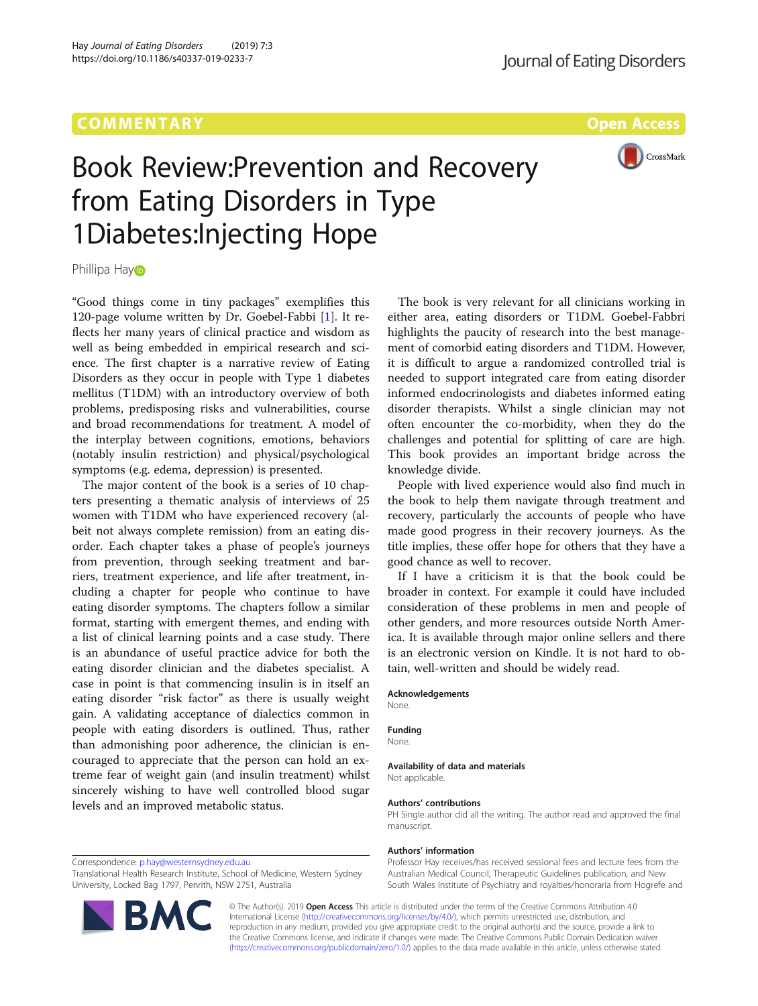# COMM EN TARY Open Access



# Book Review:Prevention and Recovery from Eating Disorders in Type 1Diabetes:Injecting Hope

Phillipa Ha[y](http://orcid.org/0000-0003-0296-6856)<sub></sub>

"Good things come in tiny packages" exemplifies this 120-page volume written by Dr. Goebel-Fabbi [[1\]](#page-1-0). It reflects her many years of clinical practice and wisdom as well as being embedded in empirical research and science. The first chapter is a narrative review of Eating Disorders as they occur in people with Type 1 diabetes mellitus (T1DM) with an introductory overview of both problems, predisposing risks and vulnerabilities, course and broad recommendations for treatment. A model of the interplay between cognitions, emotions, behaviors (notably insulin restriction) and physical/psychological symptoms (e.g. edema, depression) is presented.

The major content of the book is a series of 10 chapters presenting a thematic analysis of interviews of 25 women with T1DM who have experienced recovery (albeit not always complete remission) from an eating disorder. Each chapter takes a phase of people's journeys from prevention, through seeking treatment and barriers, treatment experience, and life after treatment, including a chapter for people who continue to have eating disorder symptoms. The chapters follow a similar format, starting with emergent themes, and ending with a list of clinical learning points and a case study. There is an abundance of useful practice advice for both the eating disorder clinician and the diabetes specialist. A case in point is that commencing insulin is in itself an eating disorder "risk factor" as there is usually weight gain. A validating acceptance of dialectics common in people with eating disorders is outlined. Thus, rather than admonishing poor adherence, the clinician is encouraged to appreciate that the person can hold an extreme fear of weight gain (and insulin treatment) whilst sincerely wishing to have well controlled blood sugar levels and an improved metabolic status.

Correspondence: [p.hay@westernsydney.edu.au](mailto:p.hay@westernsydney.edu.au)

Translational Health Research Institute, School of Medicine, Western Sydney University, Locked Bag 1797, Penrith, NSW 2751, Australia



The book is very relevant for all clinicians working in either area, eating disorders or T1DM. Goebel-Fabbri highlights the paucity of research into the best management of comorbid eating disorders and T1DM. However, it is difficult to argue a randomized controlled trial is needed to support integrated care from eating disorder informed endocrinologists and diabetes informed eating disorder therapists. Whilst a single clinician may not often encounter the co-morbidity, when they do the challenges and potential for splitting of care are high. This book provides an important bridge across the knowledge divide.

People with lived experience would also find much in the book to help them navigate through treatment and recovery, particularly the accounts of people who have made good progress in their recovery journeys. As the title implies, these offer hope for others that they have a good chance as well to recover.

If I have a criticism it is that the book could be broader in context. For example it could have included consideration of these problems in men and people of other genders, and more resources outside North America. It is available through major online sellers and there is an electronic version on Kindle. It is not hard to obtain, well-written and should be widely read.

#### Acknowledgements

None.

## Funding

None.

#### Availability of data and materials

Not applicable.

#### Authors' contributions

PH Single author did all the writing. The author read and approved the final manuscript.

#### Authors' information

Professor Hay receives/has received sessional fees and lecture fees from the Australian Medical Council, Therapeutic Guidelines publication, and New South Wales Institute of Psychiatry and royalties/honoraria from Hogrefe and

© The Author(s). 2019 Open Access This article is distributed under the terms of the Creative Commons Attribution 4.0 International License [\(http://creativecommons.org/licenses/by/4.0/](http://creativecommons.org/licenses/by/4.0/)), which permits unrestricted use, distribution, and reproduction in any medium, provided you give appropriate credit to the original author(s) and the source, provide a link to the Creative Commons license, and indicate if changes were made. The Creative Commons Public Domain Dedication waiver [\(http://creativecommons.org/publicdomain/zero/1.0/](http://creativecommons.org/publicdomain/zero/1.0/)) applies to the data made available in this article, unless otherwise stated.